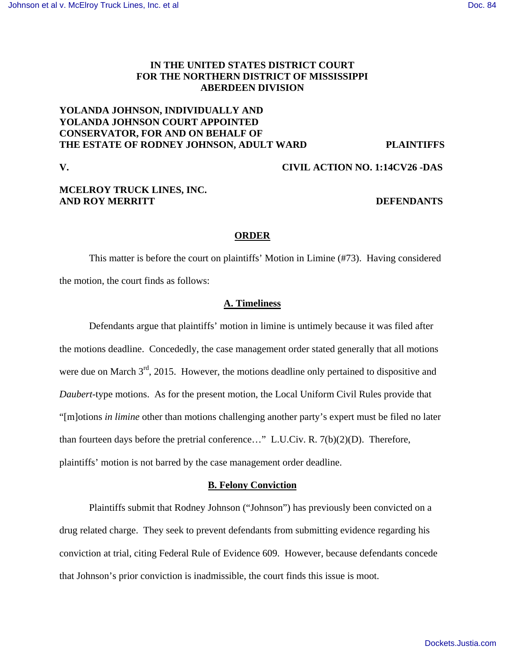# **IN THE UNITED STATES DISTRICT COURT FOR THE NORTHERN DISTRICT OF MISSISSIPPI ABERDEEN DIVISION**

# **YOLANDA JOHNSON, INDIVIDUALLY AND YOLANDA JOHNSON COURT APPOINTED CONSERVATOR, FOR AND ON BEHALF OF THE ESTATE OF RODNEY JOHNSON, ADULT WARD PLAINTIFFS**

## **V. CIVIL ACTION NO. 1:14CV26 -DAS**

# **MCELROY TRUCK LINES, INC. AND ROY MERRITT DEFENDANTS**

## **ORDER**

 This matter is before the court on plaintiffs' Motion in Limine (#73). Having considered the motion, the court finds as follows:

## **A. Timeliness**

 Defendants argue that plaintiffs' motion in limine is untimely because it was filed after the motions deadline. Concededly, the case management order stated generally that all motions were due on March  $3<sup>rd</sup>$ , 2015. However, the motions deadline only pertained to dispositive and *Daubert*-type motions. As for the present motion, the Local Uniform Civil Rules provide that "[m]otions *in limine* other than motions challenging another party's expert must be filed no later than fourteen days before the pretrial conference…" L.U.Civ. R. 7(b)(2)(D). Therefore, plaintiffs' motion is not barred by the case management order deadline.

## **B. Felony Conviction**

 Plaintiffs submit that Rodney Johnson ("Johnson") has previously been convicted on a drug related charge. They seek to prevent defendants from submitting evidence regarding his conviction at trial, citing Federal Rule of Evidence 609. However, because defendants concede that Johnson's prior conviction is inadmissible, the court finds this issue is moot.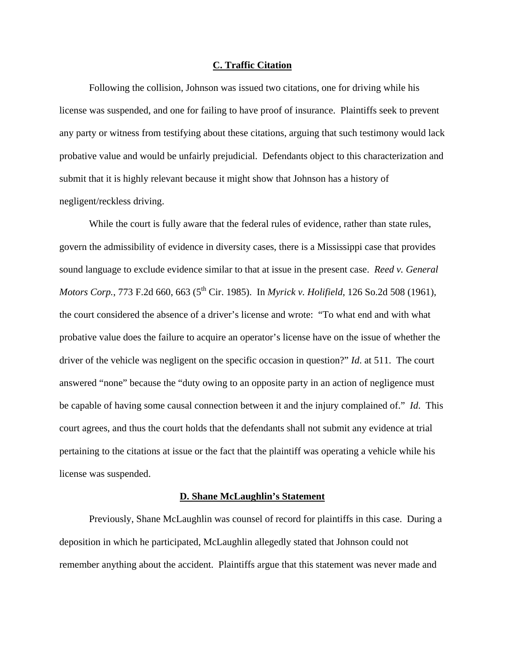#### **C. Traffic Citation**

 Following the collision, Johnson was issued two citations, one for driving while his license was suspended, and one for failing to have proof of insurance. Plaintiffs seek to prevent any party or witness from testifying about these citations, arguing that such testimony would lack probative value and would be unfairly prejudicial. Defendants object to this characterization and submit that it is highly relevant because it might show that Johnson has a history of negligent/reckless driving.

While the court is fully aware that the federal rules of evidence, rather than state rules, govern the admissibility of evidence in diversity cases, there is a Mississippi case that provides sound language to exclude evidence similar to that at issue in the present case. *Reed v. General Motors Corp.*, 773 F.2d 660, 663 (5<sup>th</sup> Cir. 1985). In *Myrick v. Holifield*, 126 So.2d 508 (1961), the court considered the absence of a driver's license and wrote: "To what end and with what probative value does the failure to acquire an operator's license have on the issue of whether the driver of the vehicle was negligent on the specific occasion in question?" *Id*. at 511. The court answered "none" because the "duty owing to an opposite party in an action of negligence must be capable of having some causal connection between it and the injury complained of." *Id*. This court agrees, and thus the court holds that the defendants shall not submit any evidence at trial pertaining to the citations at issue or the fact that the plaintiff was operating a vehicle while his license was suspended.

#### **D. Shane McLaughlin's Statement**

 Previously, Shane McLaughlin was counsel of record for plaintiffs in this case. During a deposition in which he participated, McLaughlin allegedly stated that Johnson could not remember anything about the accident. Plaintiffs argue that this statement was never made and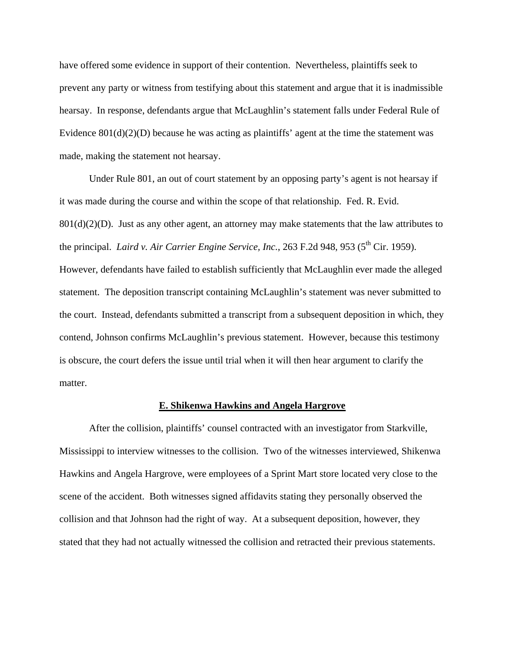have offered some evidence in support of their contention. Nevertheless, plaintiffs seek to prevent any party or witness from testifying about this statement and argue that it is inadmissible hearsay. In response, defendants argue that McLaughlin's statement falls under Federal Rule of Evidence 801(d)(2)(D) because he was acting as plaintiffs' agent at the time the statement was made, making the statement not hearsay.

Under Rule 801, an out of court statement by an opposing party's agent is not hearsay if it was made during the course and within the scope of that relationship. Fed. R. Evid.  $801(d)(2)(D)$ . Just as any other agent, an attorney may make statements that the law attributes to the principal. *Laird v. Air Carrier Engine Service, Inc.*, 263 F.2d 948, 953 (5<sup>th</sup> Cir. 1959). However, defendants have failed to establish sufficiently that McLaughlin ever made the alleged statement. The deposition transcript containing McLaughlin's statement was never submitted to the court. Instead, defendants submitted a transcript from a subsequent deposition in which, they contend, Johnson confirms McLaughlin's previous statement. However, because this testimony is obscure, the court defers the issue until trial when it will then hear argument to clarify the matter.

#### **E. Shikenwa Hawkins and Angela Hargrove**

After the collision, plaintiffs' counsel contracted with an investigator from Starkville, Mississippi to interview witnesses to the collision. Two of the witnesses interviewed, Shikenwa Hawkins and Angela Hargrove, were employees of a Sprint Mart store located very close to the scene of the accident. Both witnesses signed affidavits stating they personally observed the collision and that Johnson had the right of way. At a subsequent deposition, however, they stated that they had not actually witnessed the collision and retracted their previous statements.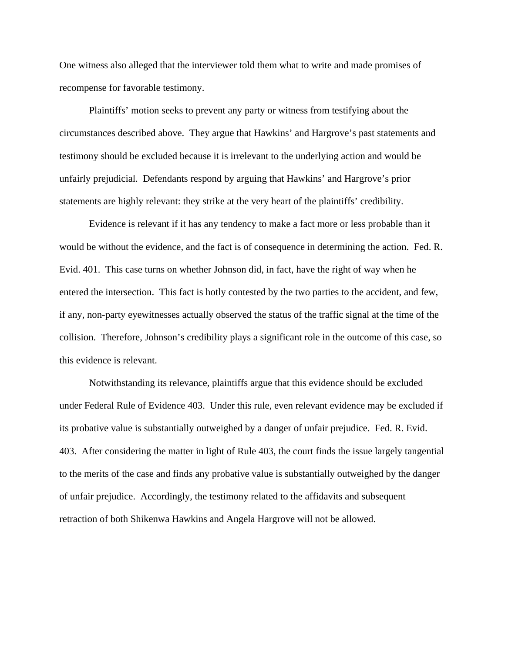One witness also alleged that the interviewer told them what to write and made promises of recompense for favorable testimony.

 Plaintiffs' motion seeks to prevent any party or witness from testifying about the circumstances described above. They argue that Hawkins' and Hargrove's past statements and testimony should be excluded because it is irrelevant to the underlying action and would be unfairly prejudicial. Defendants respond by arguing that Hawkins' and Hargrove's prior statements are highly relevant: they strike at the very heart of the plaintiffs' credibility.

 Evidence is relevant if it has any tendency to make a fact more or less probable than it would be without the evidence, and the fact is of consequence in determining the action. Fed. R. Evid. 401. This case turns on whether Johnson did, in fact, have the right of way when he entered the intersection. This fact is hotly contested by the two parties to the accident, and few, if any, non-party eyewitnesses actually observed the status of the traffic signal at the time of the collision. Therefore, Johnson's credibility plays a significant role in the outcome of this case, so this evidence is relevant.

 Notwithstanding its relevance, plaintiffs argue that this evidence should be excluded under Federal Rule of Evidence 403. Under this rule, even relevant evidence may be excluded if its probative value is substantially outweighed by a danger of unfair prejudice. Fed. R. Evid. 403. After considering the matter in light of Rule 403, the court finds the issue largely tangential to the merits of the case and finds any probative value is substantially outweighed by the danger of unfair prejudice. Accordingly, the testimony related to the affidavits and subsequent retraction of both Shikenwa Hawkins and Angela Hargrove will not be allowed.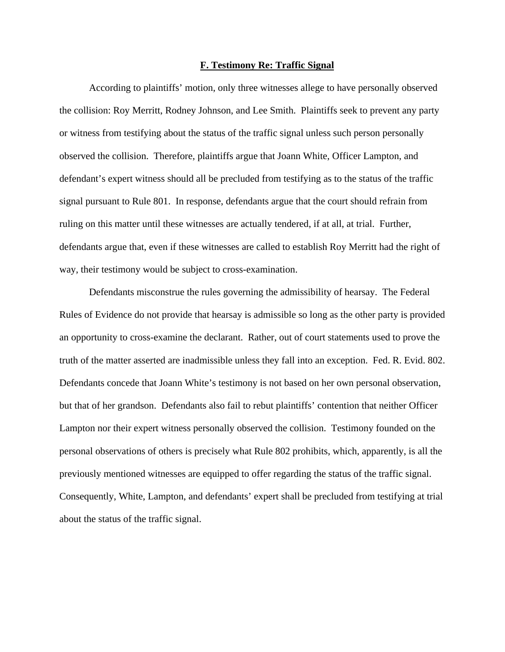#### **F. Testimony Re: Traffic Signal**

 According to plaintiffs' motion, only three witnesses allege to have personally observed the collision: Roy Merritt, Rodney Johnson, and Lee Smith. Plaintiffs seek to prevent any party or witness from testifying about the status of the traffic signal unless such person personally observed the collision. Therefore, plaintiffs argue that Joann White, Officer Lampton, and defendant's expert witness should all be precluded from testifying as to the status of the traffic signal pursuant to Rule 801. In response, defendants argue that the court should refrain from ruling on this matter until these witnesses are actually tendered, if at all, at trial. Further, defendants argue that, even if these witnesses are called to establish Roy Merritt had the right of way, their testimony would be subject to cross-examination.

 Defendants misconstrue the rules governing the admissibility of hearsay. The Federal Rules of Evidence do not provide that hearsay is admissible so long as the other party is provided an opportunity to cross-examine the declarant. Rather, out of court statements used to prove the truth of the matter asserted are inadmissible unless they fall into an exception. Fed. R. Evid. 802. Defendants concede that Joann White's testimony is not based on her own personal observation, but that of her grandson. Defendants also fail to rebut plaintiffs' contention that neither Officer Lampton nor their expert witness personally observed the collision. Testimony founded on the personal observations of others is precisely what Rule 802 prohibits, which, apparently, is all the previously mentioned witnesses are equipped to offer regarding the status of the traffic signal. Consequently, White, Lampton, and defendants' expert shall be precluded from testifying at trial about the status of the traffic signal.